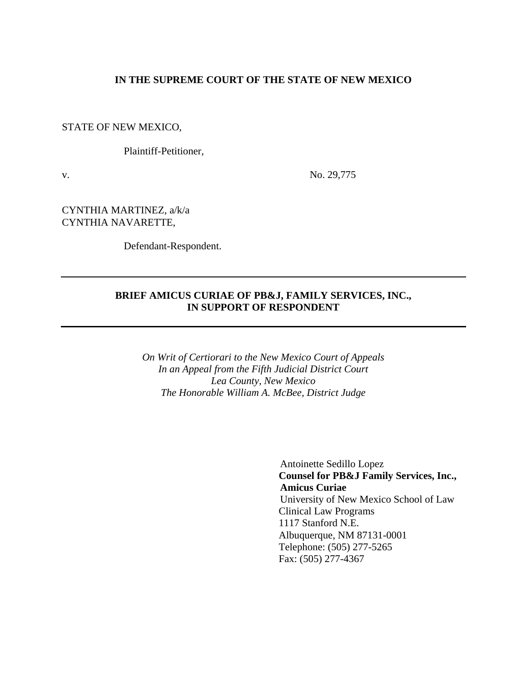#### **IN THE SUPREME COURT OF THE STATE OF NEW MEXICO**

STATE OF NEW MEXICO,

Plaintiff-Petitioner,

v. No. 29,775

CYNTHIA MARTINEZ, a/k/a CYNTHIA NAVARETTE,

Defendant-Respondent.

### **BRIEF AMICUS CURIAE OF PB&J, FAMILY SERVICES, INC., IN SUPPORT OF RESPONDENT**

*On Writ of Certiorari to the New Mexico Court of Appeals In an Appeal from the Fifth Judicial District Court Lea County, New Mexico The Honorable William A. McBee, District Judge* 

> Antoinette Sedillo Lopez **Counsel for PB&J Family Services, Inc., Amicus Curiae** University of New Mexico School of Law Clinical Law Programs 1117 Stanford N.E. Albuquerque, NM 87131-0001 Telephone: (505) 277-5265 Fax: (505) 277-4367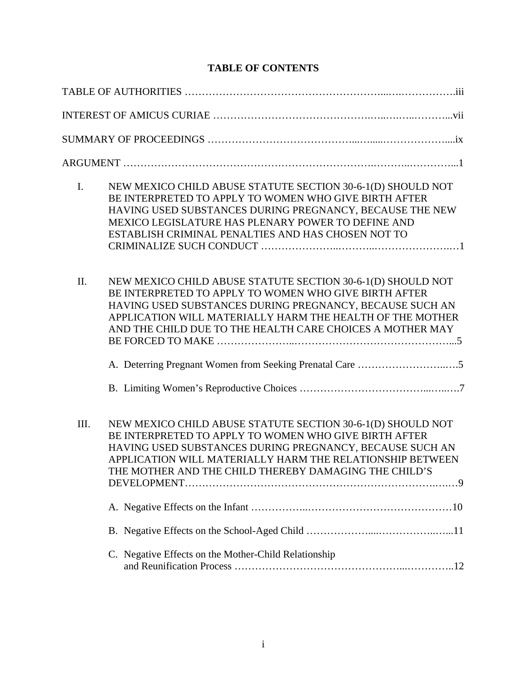## **TABLE OF CONTENTS**

| $I_{\cdot}$ | NEW MEXICO CHILD ABUSE STATUTE SECTION 30-6-1(D) SHOULD NOT<br>BE INTERPRETED TO APPLY TO WOMEN WHO GIVE BIRTH AFTER<br>HAVING USED SUBSTANCES DURING PREGNANCY, BECAUSE THE NEW<br>MEXICO LEGISLATURE HAS PLENARY POWER TO DEFINE AND<br>ESTABLISH CRIMINAL PENALTIES AND HAS CHOSEN NOT TO               |
|-------------|------------------------------------------------------------------------------------------------------------------------------------------------------------------------------------------------------------------------------------------------------------------------------------------------------------|
| II.         | NEW MEXICO CHILD ABUSE STATUTE SECTION 30-6-1(D) SHOULD NOT<br>BE INTERPRETED TO APPLY TO WOMEN WHO GIVE BIRTH AFTER<br>HAVING USED SUBSTANCES DURING PREGNANCY, BECAUSE SUCH AN<br>APPLICATION WILL MATERIALLY HARM THE HEALTH OF THE MOTHER<br>AND THE CHILD DUE TO THE HEALTH CARE CHOICES A MOTHER MAY |
|             |                                                                                                                                                                                                                                                                                                            |
| III.        | NEW MEXICO CHILD ABUSE STATUTE SECTION 30-6-1(D) SHOULD NOT<br>BE INTERPRETED TO APPLY TO WOMEN WHO GIVE BIRTH AFTER<br>HAVING USED SUBSTANCES DURING PREGNANCY, BECAUSE SUCH AN<br>APPLICATION WILL MATERIALLY HARM THE RELATIONSHIP BETWEEN<br>THE MOTHER AND THE CHILD THEREBY DAMAGING THE CHILD'S     |
|             |                                                                                                                                                                                                                                                                                                            |
|             |                                                                                                                                                                                                                                                                                                            |
|             | C. Negative Effects on the Mother-Child Relationship                                                                                                                                                                                                                                                       |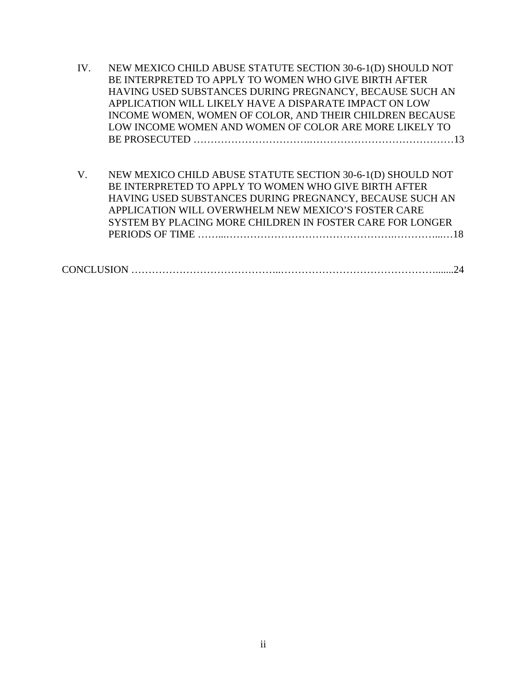- IV. NEW MEXICO CHILD ABUSE STATUTE SECTION 30-6-1(D) SHOULD NOT BE INTERPRETED TO APPLY TO WOMEN WHO GIVE BIRTH AFTER HAVING USED SUBSTANCES DURING PREGNANCY, BECAUSE SUCH AN APPLICATION WILL LIKELY HAVE A DISPARATE IMPACT ON LOW INCOME WOMEN, WOMEN OF COLOR, AND THEIR CHILDREN BECAUSE LOW INCOME WOMEN AND WOMEN OF COLOR ARE MORE LIKELY TO BE PROSECUTED …………………………….……………………………………13
- V. NEW MEXICO CHILD ABUSE STATUTE SECTION 30-6-1(D) SHOULD NOT BE INTERPRETED TO APPLY TO WOMEN WHO GIVE BIRTH AFTER HAVING USED SUBSTANCES DURING PREGNANCY, BECAUSE SUCH AN APPLICATION WILL OVERWHELM NEW MEXICO'S FOSTER CARE SYSTEM BY PLACING MORE CHILDREN IN FOSTER CARE FOR LONGER PERIODS OF TIME ……...………………………………………….…………...…18

|--|--|--|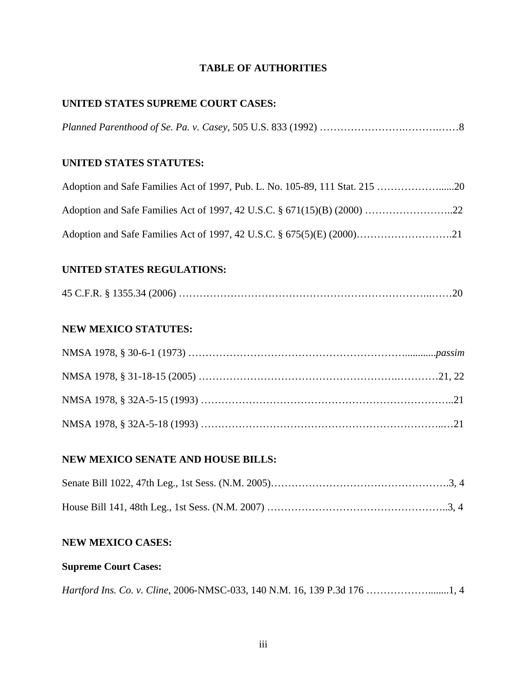## **TABLE OF AUTHORITIES**

## **UNITED STATES SUPREME COURT CASES:**

*Planned Parenthood of Se. Pa. v. Casey*, 505 U.S. 833 (1992) …………………….……….……8

## **UNITED STATES STATUTES:**

## **UNITED STATES REGULATIONS:**

## **NEW MEXICO STATUTES:**

## **NEW MEXICO SENATE AND HOUSE BILLS:**

## **NEW MEXICO CASES:**

## **Supreme Court Cases:**

|--|--|--|--|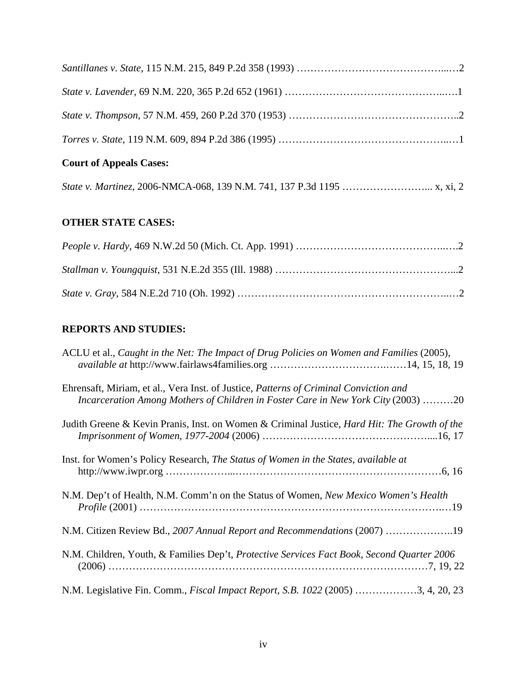# **Court of Appeals Cases:**

|--|--|--|

## **OTHER STATE CASES:**

## **REPORTS AND STUDIES:**

| ACLU et al., Caught in the Net: The Impact of Drug Policies on Women and Families (2005),                                                                                  |
|----------------------------------------------------------------------------------------------------------------------------------------------------------------------------|
| Ehrensaft, Miriam, et al., Vera Inst. of Justice, Patterns of Criminal Conviction and<br>Incarceration Among Mothers of Children in Foster Care in New York City (2003) 20 |
| Judith Greene & Kevin Pranis, Inst. on Women & Criminal Justice, <i>Hard Hit: The Growth of the</i>                                                                        |
| Inst. for Women's Policy Research, The Status of Women in the States, available at                                                                                         |
| N.M. Dep't of Health, N.M. Comm'n on the Status of Women, New Mexico Women's Health                                                                                        |
| N.M. Citizen Review Bd., 2007 Annual Report and Recommendations (2007) 19                                                                                                  |
| N.M. Children, Youth, & Families Dep't, Protective Services Fact Book, Second Quarter 2006                                                                                 |
| N.M. Legislative Fin. Comm., <i>Fiscal Impact Report</i> , <i>S.B. 1022</i> (2005) 3, 4, 20, 23                                                                            |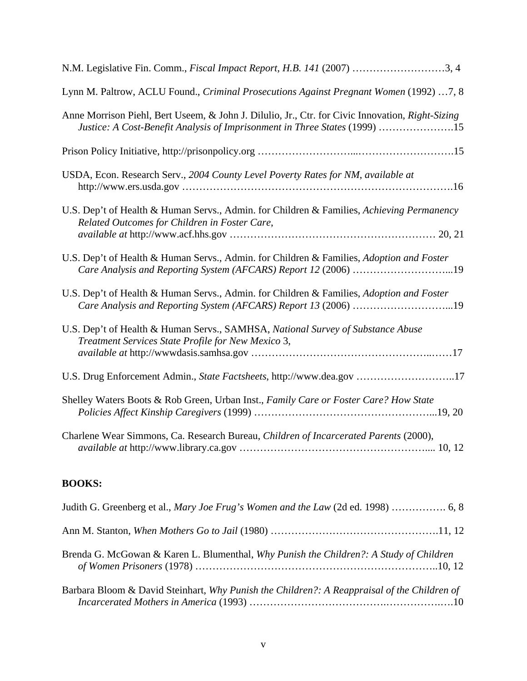| N.M. Legislative Fin. Comm., Fiscal Impact Report, H.B. 141 (2007) 3, 4                                                                                                        |
|--------------------------------------------------------------------------------------------------------------------------------------------------------------------------------|
| Lynn M. Paltrow, ACLU Found., Criminal Prosecutions Against Pregnant Women (1992)  7, 8                                                                                        |
| Anne Morrison Piehl, Bert Useem, & John J. Dilulio, Jr., Ctr. for Civic Innovation, Right-Sizing<br>Justice: A Cost-Benefit Analysis of Imprisonment in Three States (1999) 15 |
|                                                                                                                                                                                |
| USDA, Econ. Research Serv., 2004 County Level Poverty Rates for NM, available at                                                                                               |
| U.S. Dep't of Health & Human Servs., Admin. for Children & Families, Achieving Permanency<br>Related Outcomes for Children in Foster Care,                                     |
| U.S. Dep't of Health & Human Servs., Admin. for Children & Families, Adoption and Foster<br>Care Analysis and Reporting System (AFCARS) Report 12 (2006) 19                    |
| U.S. Dep't of Health & Human Servs., Admin. for Children & Families, Adoption and Foster<br>Care Analysis and Reporting System (AFCARS) Report 13 (2006) 19                    |
| U.S. Dep't of Health & Human Servs., SAMHSA, National Survey of Substance Abuse<br>Treatment Services State Profile for New Mexico 3,                                          |
| U.S. Drug Enforcement Admin., State Factsheets, http://www.dea.gov 17                                                                                                          |
| Shelley Waters Boots & Rob Green, Urban Inst., Family Care or Foster Care? How State                                                                                           |
| Charlene Wear Simmons, Ca. Research Bureau, Children of Incarcerated Parents (2000),                                                                                           |

## **BOOKS:**

| Brenda G. McGowan & Karen L. Blumenthal, Why Punish the Children?: A Study of Children      |
|---------------------------------------------------------------------------------------------|
| Barbara Bloom & David Steinhart, Why Punish the Children?: A Reappraisal of the Children of |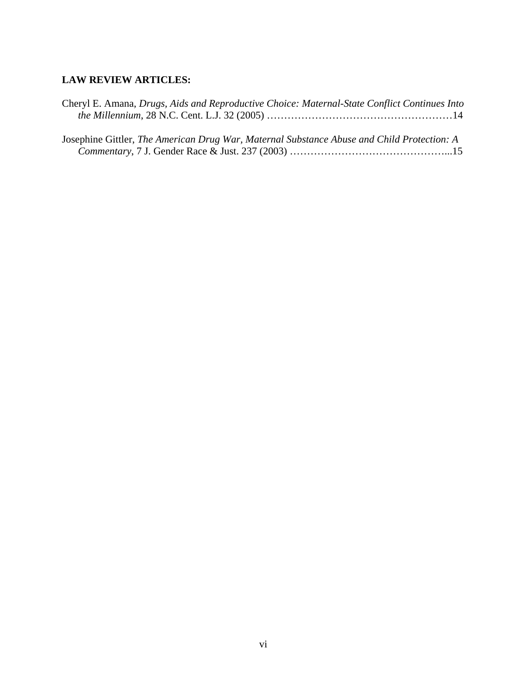## **LAW REVIEW ARTICLES:**

| Cheryl E. Amana, Drugs, Aids and Reproductive Choice: Maternal-State Conflict Continues Into |  |
|----------------------------------------------------------------------------------------------|--|
|                                                                                              |  |
|                                                                                              |  |
| Josephine Gittler, The American Drug War, Maternal Substance Abuse and Child Protection: A   |  |
|                                                                                              |  |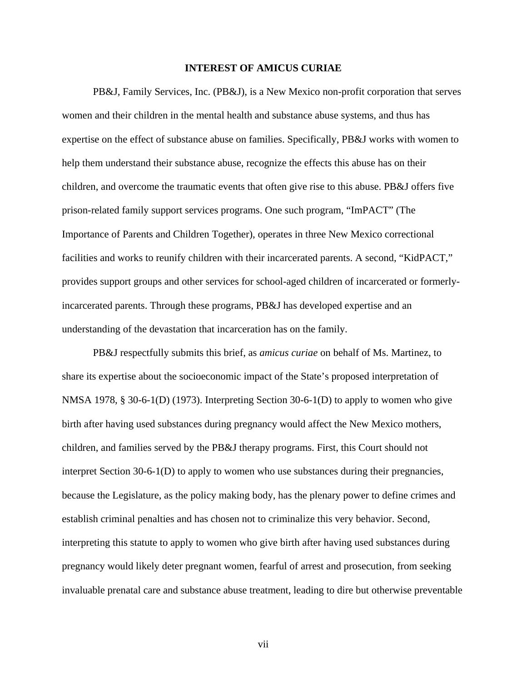#### **INTEREST OF AMICUS CURIAE**

PB&J, Family Services, Inc. (PB&J), is a New Mexico non-profit corporation that serves women and their children in the mental health and substance abuse systems, and thus has expertise on the effect of substance abuse on families. Specifically, PB&J works with women to help them understand their substance abuse, recognize the effects this abuse has on their children, and overcome the traumatic events that often give rise to this abuse. PB&J offers five prison-related family support services programs. One such program, "ImPACT" (The Importance of Parents and Children Together), operates in three New Mexico correctional facilities and works to reunify children with their incarcerated parents. A second, "KidPACT," provides support groups and other services for school-aged children of incarcerated or formerlyincarcerated parents. Through these programs, PB&J has developed expertise and an understanding of the devastation that incarceration has on the family.

PB&J respectfully submits this brief, as *amicus curiae* on behalf of Ms. Martinez, to share its expertise about the socioeconomic impact of the State's proposed interpretation of NMSA 1978, § 30-6-1(D) (1973). Interpreting Section 30-6-1(D) to apply to women who give birth after having used substances during pregnancy would affect the New Mexico mothers, children, and families served by the PB&J therapy programs. First, this Court should not interpret Section 30-6-1(D) to apply to women who use substances during their pregnancies, because the Legislature, as the policy making body, has the plenary power to define crimes and establish criminal penalties and has chosen not to criminalize this very behavior. Second, interpreting this statute to apply to women who give birth after having used substances during pregnancy would likely deter pregnant women, fearful of arrest and prosecution, from seeking invaluable prenatal care and substance abuse treatment, leading to dire but otherwise preventable

vii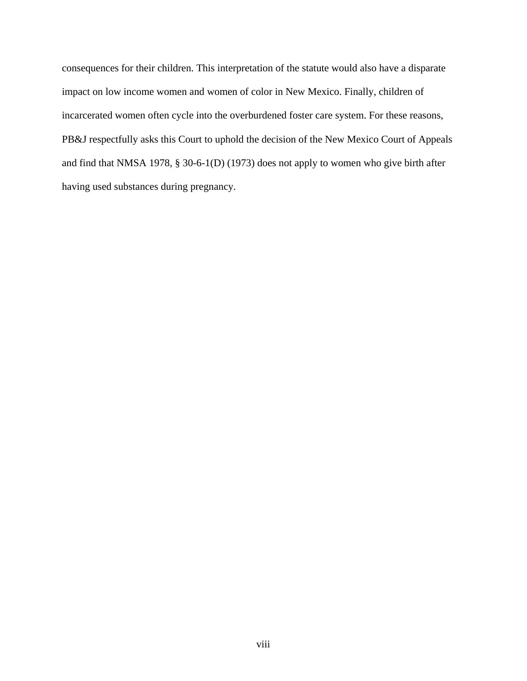consequences for their children. This interpretation of the statute would also have a disparate impact on low income women and women of color in New Mexico. Finally, children of incarcerated women often cycle into the overburdened foster care system. For these reasons, PB&J respectfully asks this Court to uphold the decision of the New Mexico Court of Appeals and find that NMSA 1978, § 30-6-1(D) (1973) does not apply to women who give birth after having used substances during pregnancy.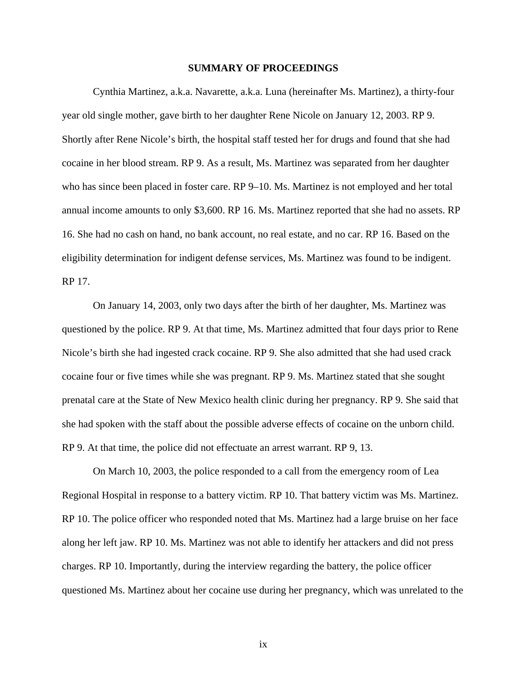#### **SUMMARY OF PROCEEDINGS**

Cynthia Martinez, a.k.a. Navarette, a.k.a. Luna (hereinafter Ms. Martinez), a thirty-four year old single mother, gave birth to her daughter Rene Nicole on January 12, 2003. RP 9. Shortly after Rene Nicole's birth, the hospital staff tested her for drugs and found that she had cocaine in her blood stream. RP 9. As a result, Ms. Martinez was separated from her daughter who has since been placed in foster care. RP 9–10. Ms. Martinez is not employed and her total annual income amounts to only \$3,600. RP 16. Ms. Martinez reported that she had no assets. RP 16. She had no cash on hand, no bank account, no real estate, and no car. RP 16. Based on the eligibility determination for indigent defense services, Ms. Martinez was found to be indigent. RP 17.

On January 14, 2003, only two days after the birth of her daughter, Ms. Martinez was questioned by the police. RP 9. At that time, Ms. Martinez admitted that four days prior to Rene Nicole's birth she had ingested crack cocaine. RP 9. She also admitted that she had used crack cocaine four or five times while she was pregnant. RP 9. Ms. Martinez stated that she sought prenatal care at the State of New Mexico health clinic during her pregnancy. RP 9. She said that she had spoken with the staff about the possible adverse effects of cocaine on the unborn child. RP 9. At that time, the police did not effectuate an arrest warrant. RP 9, 13.

On March 10, 2003, the police responded to a call from the emergency room of Lea Regional Hospital in response to a battery victim. RP 10. That battery victim was Ms. Martinez. RP 10. The police officer who responded noted that Ms. Martinez had a large bruise on her face along her left jaw. RP 10. Ms. Martinez was not able to identify her attackers and did not press charges. RP 10. Importantly, during the interview regarding the battery, the police officer questioned Ms. Martinez about her cocaine use during her pregnancy, which was unrelated to the

ix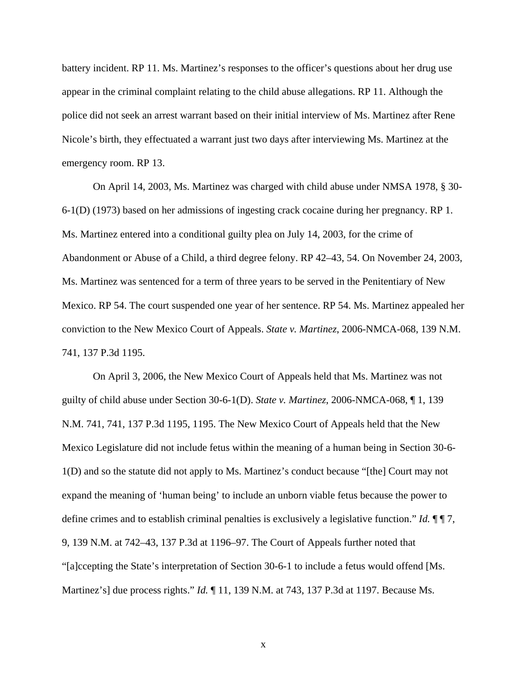battery incident. RP 11. Ms. Martinez's responses to the officer's questions about her drug use appear in the criminal complaint relating to the child abuse allegations. RP 11. Although the police did not seek an arrest warrant based on their initial interview of Ms. Martinez after Rene Nicole's birth, they effectuated a warrant just two days after interviewing Ms. Martinez at the emergency room. RP 13.

On April 14, 2003, Ms. Martinez was charged with child abuse under NMSA 1978, § 30- 6-1(D) (1973) based on her admissions of ingesting crack cocaine during her pregnancy. RP 1. Ms. Martinez entered into a conditional guilty plea on July 14, 2003, for the crime of Abandonment or Abuse of a Child, a third degree felony. RP 42–43, 54. On November 24, 2003, Ms. Martinez was sentenced for a term of three years to be served in the Penitentiary of New Mexico. RP 54. The court suspended one year of her sentence. RP 54. Ms. Martinez appealed her conviction to the New Mexico Court of Appeals. *State v. Martinez*, 2006-NMCA-068, 139 N.M. 741, 137 P.3d 1195.

On April 3, 2006, the New Mexico Court of Appeals held that Ms. Martinez was not guilty of child abuse under Section 30-6-1(D). *State v. Martinez*, 2006-NMCA-068, ¶ 1, 139 N.M. 741, 741, 137 P.3d 1195, 1195. The New Mexico Court of Appeals held that the New Mexico Legislature did not include fetus within the meaning of a human being in Section 30-6- 1(D) and so the statute did not apply to Ms. Martinez's conduct because "[the] Court may not expand the meaning of 'human being' to include an unborn viable fetus because the power to define crimes and to establish criminal penalties is exclusively a legislative function." *Id.* ¶ ¶ 7, 9, 139 N.M. at 742–43, 137 P.3d at 1196–97. The Court of Appeals further noted that "[a]ccepting the State's interpretation of Section 30-6-1 to include a fetus would offend [Ms. Martinez's] due process rights." *Id.* ¶ 11, 139 N.M. at 743, 137 P.3d at 1197. Because Ms.

x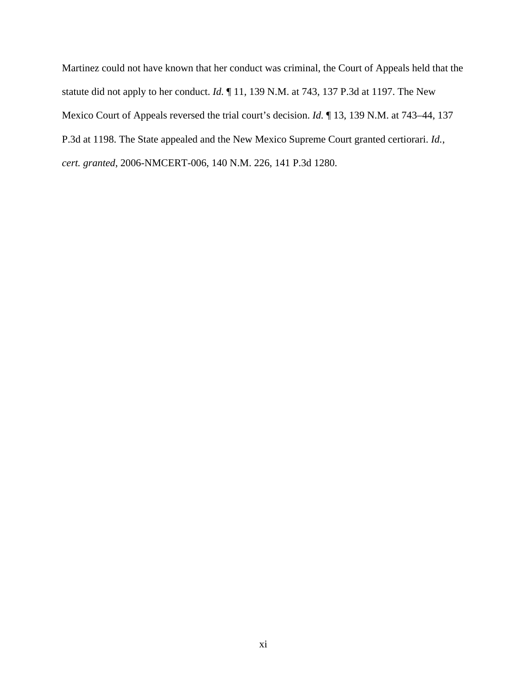Martinez could not have known that her conduct was criminal, the Court of Appeals held that the statute did not apply to her conduct. *Id.* ¶ 11, 139 N.M. at 743, 137 P.3d at 1197. The New Mexico Court of Appeals reversed the trial court's decision. *Id.* ¶ 13, 139 N.M. at 743–44, 137 P.3d at 1198. The State appealed and the New Mexico Supreme Court granted certiorari. *Id.*, *cert. granted*, 2006-NMCERT-006, 140 N.M. 226, 141 P.3d 1280.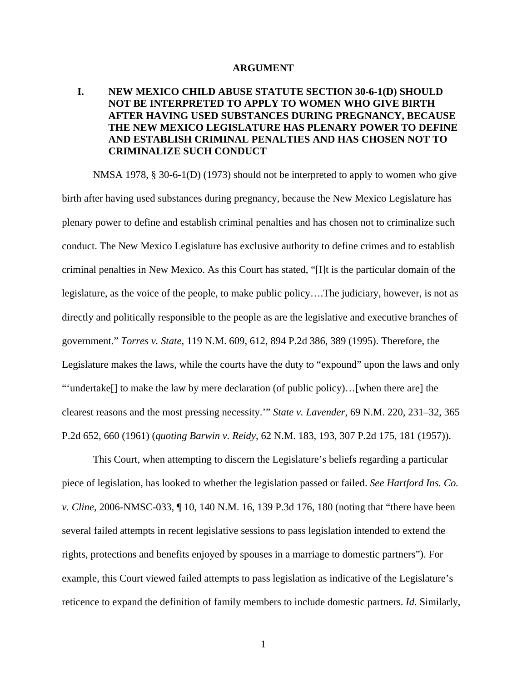#### **ARGUMENT**

### **I. NEW MEXICO CHILD ABUSE STATUTE SECTION 30-6-1(D) SHOULD NOT BE INTERPRETED TO APPLY TO WOMEN WHO GIVE BIRTH AFTER HAVING USED SUBSTANCES DURING PREGNANCY, BECAUSE THE NEW MEXICO LEGISLATURE HAS PLENARY POWER TO DEFINE AND ESTABLISH CRIMINAL PENALTIES AND HAS CHOSEN NOT TO CRIMINALIZE SUCH CONDUCT**

NMSA 1978, § 30-6-1(D) (1973) should not be interpreted to apply to women who give birth after having used substances during pregnancy, because the New Mexico Legislature has plenary power to define and establish criminal penalties and has chosen not to criminalize such conduct. The New Mexico Legislature has exclusive authority to define crimes and to establish criminal penalties in New Mexico. As this Court has stated, "[I]t is the particular domain of the legislature, as the voice of the people, to make public policy….The judiciary, however, is not as directly and politically responsible to the people as are the legislative and executive branches of government." *Torres v. State*, 119 N.M. 609, 612, 894 P.2d 386, 389 (1995). Therefore, the Legislature makes the laws, while the courts have the duty to "expound" upon the laws and only "'undertake[] to make the law by mere declaration (of public policy)…[when there are] the clearest reasons and the most pressing necessity.'" *State v. Lavender*, 69 N.M. 220, 231–32, 365 P.2d 652, 660 (1961) (*quoting Barwin v. Reidy*, 62 N.M. 183, 193, 307 P.2d 175, 181 (1957)).

This Court, when attempting to discern the Legislature's beliefs regarding a particular piece of legislation, has looked to whether the legislation passed or failed. *See Hartford Ins. Co. v. Cline*, 2006-NMSC-033, ¶ 10, 140 N.M. 16, 139 P.3d 176, 180 (noting that "there have been several failed attempts in recent legislative sessions to pass legislation intended to extend the rights, protections and benefits enjoyed by spouses in a marriage to domestic partners"). For example, this Court viewed failed attempts to pass legislation as indicative of the Legislature's reticence to expand the definition of family members to include domestic partners. *Id.* Similarly,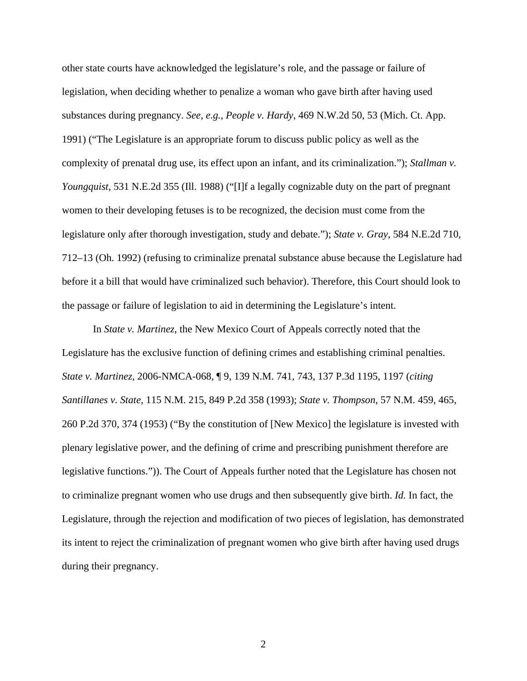other state courts have acknowledged the legislature's role, and the passage or failure of legislation, when deciding whether to penalize a woman who gave birth after having used substances during pregnancy. *See*, *e.g.*, *People v. Hardy*, 469 N.W.2d 50, 53 (Mich. Ct. App. 1991) ("The Legislature is an appropriate forum to discuss public policy as well as the complexity of prenatal drug use, its effect upon an infant, and its criminalization."); *Stallman v. Youngquist*, 531 N.E.2d 355 (Ill. 1988) ("[I]f a legally cognizable duty on the part of pregnant women to their developing fetuses is to be recognized, the decision must come from the legislature only after thorough investigation, study and debate."); *State v. Gray*, 584 N.E.2d 710, 712–13 (Oh. 1992) (refusing to criminalize prenatal substance abuse because the Legislature had before it a bill that would have criminalized such behavior). Therefore, this Court should look to the passage or failure of legislation to aid in determining the Legislature's intent.

In *State v. Martinez*, the New Mexico Court of Appeals correctly noted that the Legislature has the exclusive function of defining crimes and establishing criminal penalties. *State v. Martinez*, 2006-NMCA-068, ¶ 9, 139 N.M. 741, 743, 137 P.3d 1195, 1197 (*citing Santillanes v. State*, 115 N.M. 215, 849 P.2d 358 (1993); *State v. Thompson*, 57 N.M. 459, 465, 260 P.2d 370, 374 (1953) ("By the constitution of [New Mexico] the legislature is invested with plenary legislative power, and the defining of crime and prescribing punishment therefore are legislative functions.")). The Court of Appeals further noted that the Legislature has chosen not to criminalize pregnant women who use drugs and then subsequently give birth. *Id.* In fact, the Legislature, through the rejection and modification of two pieces of legislation, has demonstrated its intent to reject the criminalization of pregnant women who give birth after having used drugs during their pregnancy.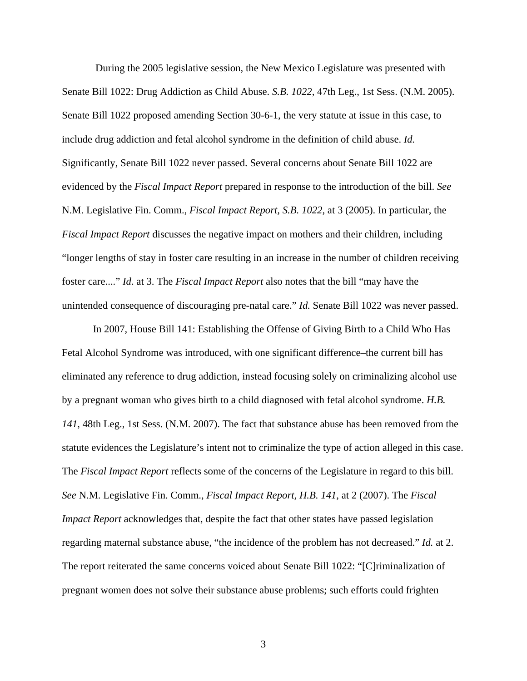During the 2005 legislative session, the New Mexico Legislature was presented with Senate Bill 1022: Drug Addiction as Child Abuse. *S.B. 1022*, 47th Leg., 1st Sess. (N.M. 2005). Senate Bill 1022 proposed amending Section 30-6-1, the very statute at issue in this case, to include drug addiction and fetal alcohol syndrome in the definition of child abuse. *Id.*  Significantly, Senate Bill 1022 never passed. Several concerns about Senate Bill 1022 are evidenced by the *Fiscal Impact Report* prepared in response to the introduction of the bill. *See* N.M. Legislative Fin. Comm., *Fiscal Impact Report, S.B. 1022*, at 3 (2005). In particular, the *Fiscal Impact Report* discusses the negative impact on mothers and their children, including "longer lengths of stay in foster care resulting in an increase in the number of children receiving foster care...." *Id*. at 3. The *Fiscal Impact Report* also notes that the bill "may have the unintended consequence of discouraging pre-natal care." *Id.* Senate Bill 1022 was never passed.

In 2007, House Bill 141: Establishing the Offense of Giving Birth to a Child Who Has Fetal Alcohol Syndrome was introduced, with one significant difference–the current bill has eliminated any reference to drug addiction, instead focusing solely on criminalizing alcohol use by a pregnant woman who gives birth to a child diagnosed with fetal alcohol syndrome. *H.B. 141*, 48th Leg., 1st Sess. (N.M. 2007). The fact that substance abuse has been removed from the statute evidences the Legislature's intent not to criminalize the type of action alleged in this case. The *Fiscal Impact Report* reflects some of the concerns of the Legislature in regard to this bill. *See* N.M. Legislative Fin. Comm., *Fiscal Impact Report, H.B. 141*, at 2 (2007). The *Fiscal Impact Report* acknowledges that, despite the fact that other states have passed legislation regarding maternal substance abuse, "the incidence of the problem has not decreased." *Id.* at 2. The report reiterated the same concerns voiced about Senate Bill 1022: "[C]riminalization of pregnant women does not solve their substance abuse problems; such efforts could frighten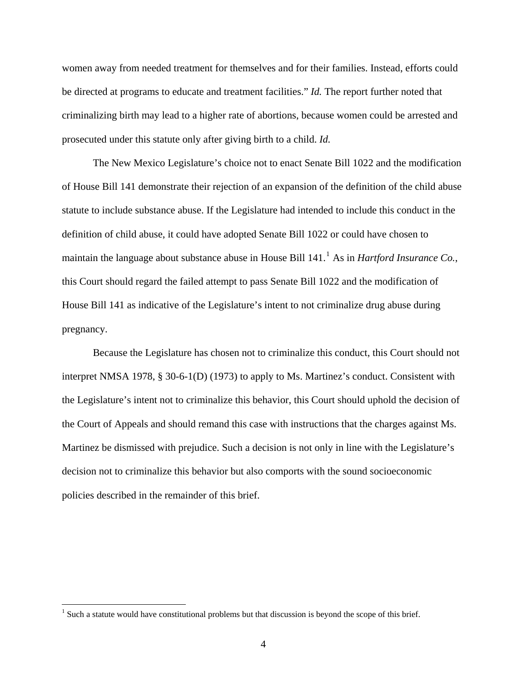women away from needed treatment for themselves and for their families. Instead, efforts could be directed at programs to educate and treatment facilities." *Id.* The report further noted that criminalizing birth may lead to a higher rate of abortions, because women could be arrested and prosecuted under this statute only after giving birth to a child. *Id.*

The New Mexico Legislature's choice not to enact Senate Bill 1022 and the modification of House Bill 141 demonstrate their rejection of an expansion of the definition of the child abuse statute to include substance abuse. If the Legislature had intended to include this conduct in the definition of child abuse, it could have adopted Senate Bill 1022 or could have chosen to maintain the language about substance abuse in House Bill [1](#page-16-0)41.<sup>1</sup> As in *Hartford Insurance Co.*, this Court should regard the failed attempt to pass Senate Bill 1022 and the modification of House Bill 141 as indicative of the Legislature's intent to not criminalize drug abuse during pregnancy.

Because the Legislature has chosen not to criminalize this conduct, this Court should not interpret NMSA 1978, § 30-6-1(D) (1973) to apply to Ms. Martinez's conduct. Consistent with the Legislature's intent not to criminalize this behavior, this Court should uphold the decision of the Court of Appeals and should remand this case with instructions that the charges against Ms. Martinez be dismissed with prejudice. Such a decision is not only in line with the Legislature's decision not to criminalize this behavior but also comports with the sound socioeconomic policies described in the remainder of this brief.

 $\overline{a}$ 

<span id="page-16-0"></span><sup>&</sup>lt;sup>1</sup> Such a statute would have constitutional problems but that discussion is beyond the scope of this brief.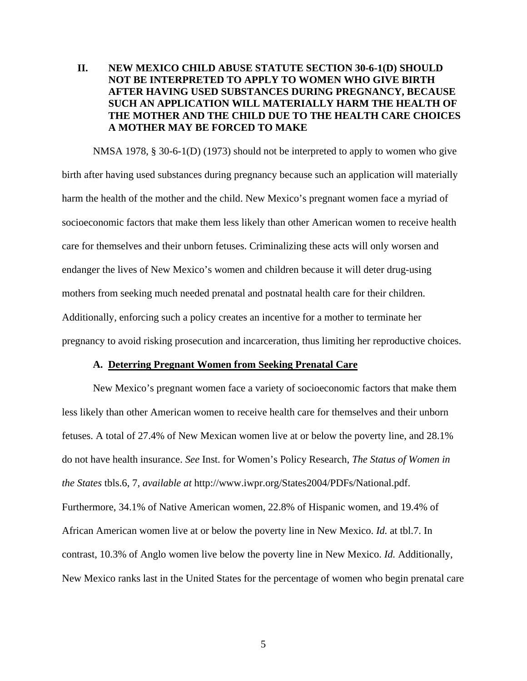### **II. NEW MEXICO CHILD ABUSE STATUTE SECTION 30-6-1(D) SHOULD NOT BE INTERPRETED TO APPLY TO WOMEN WHO GIVE BIRTH AFTER HAVING USED SUBSTANCES DURING PREGNANCY, BECAUSE SUCH AN APPLICATION WILL MATERIALLY HARM THE HEALTH OF THE MOTHER AND THE CHILD DUE TO THE HEALTH CARE CHOICES A MOTHER MAY BE FORCED TO MAKE**

NMSA 1978, § 30-6-1(D) (1973) should not be interpreted to apply to women who give birth after having used substances during pregnancy because such an application will materially harm the health of the mother and the child. New Mexico's pregnant women face a myriad of socioeconomic factors that make them less likely than other American women to receive health care for themselves and their unborn fetuses. Criminalizing these acts will only worsen and endanger the lives of New Mexico's women and children because it will deter drug-using mothers from seeking much needed prenatal and postnatal health care for their children. Additionally, enforcing such a policy creates an incentive for a mother to terminate her pregnancy to avoid risking prosecution and incarceration, thus limiting her reproductive choices.

#### **A. Deterring Pregnant Women from Seeking Prenatal Care**

New Mexico's pregnant women face a variety of socioeconomic factors that make them less likely than other American women to receive health care for themselves and their unborn fetuses. A total of 27.4% of New Mexican women live at or below the poverty line, and 28.1% do not have health insurance. *See* Inst. for Women's Policy Research, *The Status of Women in the States* tbls.6, 7, *available at* http://www.iwpr.org/States2004/PDFs/National.pdf. Furthermore, 34.1% of Native American women, 22.8% of Hispanic women, and 19.4% of African American women live at or below the poverty line in New Mexico. *Id.* at tbl.7. In contrast, 10.3% of Anglo women live below the poverty line in New Mexico. *Id.* Additionally, New Mexico ranks last in the United States for the percentage of women who begin prenatal care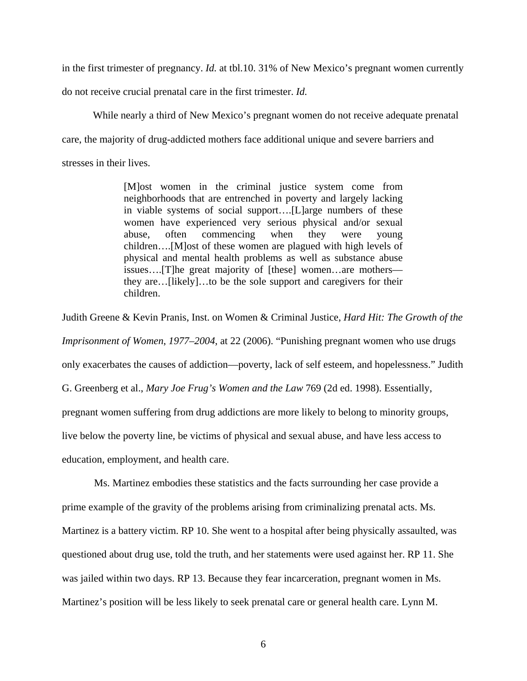in the first trimester of pregnancy. *Id.* at tbl.10. 31% of New Mexico's pregnant women currently

do not receive crucial prenatal care in the first trimester. *Id.* 

While nearly a third of New Mexico's pregnant women do not receive adequate prenatal care, the majority of drug-addicted mothers face additional unique and severe barriers and stresses in their lives.

> [M]ost women in the criminal justice system come from neighborhoods that are entrenched in poverty and largely lacking in viable systems of social support….[L]arge numbers of these women have experienced very serious physical and/or sexual abuse, often commencing when they were young children….[M]ost of these women are plagued with high levels of physical and mental health problems as well as substance abuse issues….[T]he great majority of [these] women…are mothers they are…[likely]…to be the sole support and caregivers for their children.

Judith Greene & Kevin Pranis, Inst. on Women & Criminal Justice, *Hard Hit: The Growth of the Imprisonment of Women*, *1977–2004*, at 22 (2006). "Punishing pregnant women who use drugs only exacerbates the causes of addiction—poverty, lack of self esteem, and hopelessness." Judith G. Greenberg et al., *Mary Joe Frug's Women and the Law* 769 (2d ed. 1998). Essentially, pregnant women suffering from drug addictions are more likely to belong to minority groups, live below the poverty line, be victims of physical and sexual abuse, and have less access to education, employment, and health care.

Ms. Martinez embodies these statistics and the facts surrounding her case provide a prime example of the gravity of the problems arising from criminalizing prenatal acts. Ms. Martinez is a battery victim. RP 10. She went to a hospital after being physically assaulted, was questioned about drug use, told the truth, and her statements were used against her. RP 11. She was jailed within two days. RP 13. Because they fear incarceration, pregnant women in Ms. Martinez's position will be less likely to seek prenatal care or general health care. Lynn M.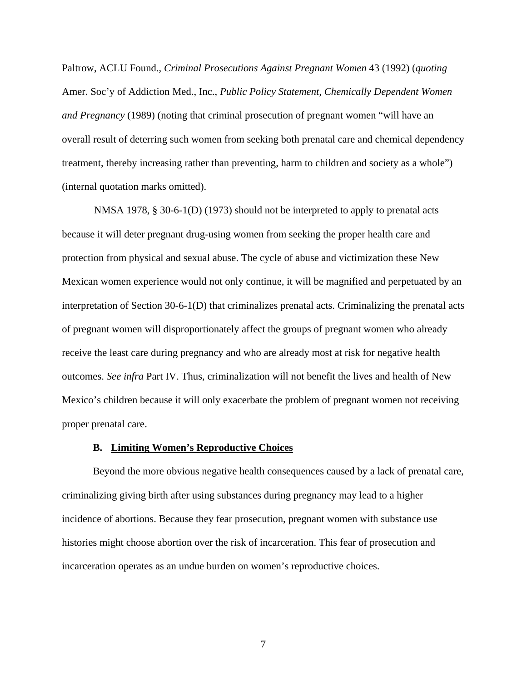Paltrow, ACLU Found., *Criminal Prosecutions Against Pregnant Women* 43 (1992) (*quoting* Amer. Soc'y of Addiction Med., Inc., *Public Policy Statement, Chemically Dependent Women and Pregnancy* (1989) (noting that criminal prosecution of pregnant women "will have an overall result of deterring such women from seeking both prenatal care and chemical dependency treatment, thereby increasing rather than preventing, harm to children and society as a whole") (internal quotation marks omitted).

NMSA 1978, § 30-6-1(D) (1973) should not be interpreted to apply to prenatal acts because it will deter pregnant drug-using women from seeking the proper health care and protection from physical and sexual abuse. The cycle of abuse and victimization these New Mexican women experience would not only continue, it will be magnified and perpetuated by an interpretation of Section 30-6-1(D) that criminalizes prenatal acts. Criminalizing the prenatal acts of pregnant women will disproportionately affect the groups of pregnant women who already receive the least care during pregnancy and who are already most at risk for negative health outcomes. *See infra* Part IV. Thus, criminalization will not benefit the lives and health of New Mexico's children because it will only exacerbate the problem of pregnant women not receiving proper prenatal care.

#### **B. Limiting Women's Reproductive Choices**

Beyond the more obvious negative health consequences caused by a lack of prenatal care, criminalizing giving birth after using substances during pregnancy may lead to a higher incidence of abortions. Because they fear prosecution, pregnant women with substance use histories might choose abortion over the risk of incarceration. This fear of prosecution and incarceration operates as an undue burden on women's reproductive choices.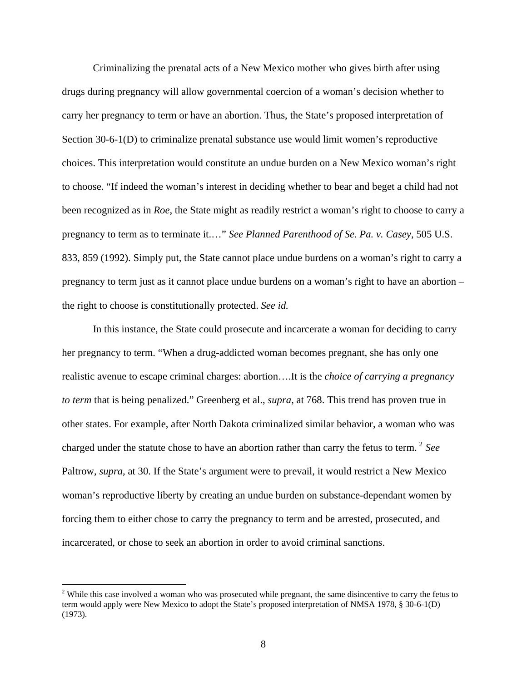Criminalizing the prenatal acts of a New Mexico mother who gives birth after using drugs during pregnancy will allow governmental coercion of a woman's decision whether to carry her pregnancy to term or have an abortion. Thus, the State's proposed interpretation of Section 30-6-1(D) to criminalize prenatal substance use would limit women's reproductive choices. This interpretation would constitute an undue burden on a New Mexico woman's right to choose. "If indeed the woman's interest in deciding whether to bear and beget a child had not been recognized as in *Roe*, the State might as readily restrict a woman's right to choose to carry a pregnancy to term as to terminate it.…" *See Planned Parenthood of Se. Pa. v. Casey*, 505 U.S. 833, 859 (1992). Simply put, the State cannot place undue burdens on a woman's right to carry a pregnancy to term just as it cannot place undue burdens on a woman's right to have an abortion – the right to choose is constitutionally protected. *See id.*

In this instance, the State could prosecute and incarcerate a woman for deciding to carry her pregnancy to term. "When a drug-addicted woman becomes pregnant, she has only one realistic avenue to escape criminal charges: abortion….It is the *choice of carrying a pregnancy to term* that is being penalized." Greenberg et al., *supra*, at 768. This trend has proven true in other states. For example, after North Dakota criminalized similar behavior, a woman who was charged under the statute chose to have an abortion rather than carry the fetus to term. [2](#page-20-0) *See* Paltrow, *supra*, at 30. If the State's argument were to prevail, it would restrict a New Mexico woman's reproductive liberty by creating an undue burden on substance-dependant women by forcing them to either chose to carry the pregnancy to term and be arrested, prosecuted, and incarcerated, or chose to seek an abortion in order to avoid criminal sanctions.

 $\overline{a}$ 

<span id="page-20-0"></span> $2$  While this case involved a woman who was prosecuted while pregnant, the same disincentive to carry the fetus to term would apply were New Mexico to adopt the State's proposed interpretation of NMSA 1978, § 30-6-1(D) (1973).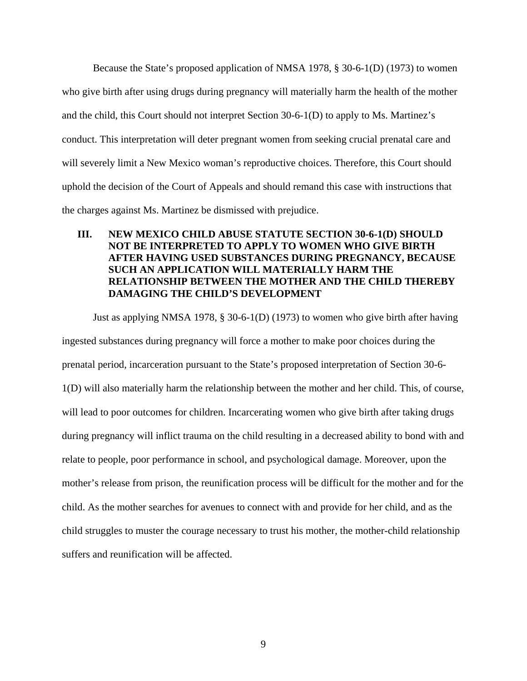Because the State's proposed application of NMSA 1978, § 30-6-1(D) (1973) to women who give birth after using drugs during pregnancy will materially harm the health of the mother and the child, this Court should not interpret Section 30-6-1(D) to apply to Ms. Martinez's conduct. This interpretation will deter pregnant women from seeking crucial prenatal care and will severely limit a New Mexico woman's reproductive choices. Therefore, this Court should uphold the decision of the Court of Appeals and should remand this case with instructions that the charges against Ms. Martinez be dismissed with prejudice.

## **III. NEW MEXICO CHILD ABUSE STATUTE SECTION 30-6-1(D) SHOULD NOT BE INTERPRETED TO APPLY TO WOMEN WHO GIVE BIRTH AFTER HAVING USED SUBSTANCES DURING PREGNANCY, BECAUSE SUCH AN APPLICATION WILL MATERIALLY HARM THE RELATIONSHIP BETWEEN THE MOTHER AND THE CHILD THEREBY DAMAGING THE CHILD'S DEVELOPMENT**

Just as applying NMSA 1978, § 30-6-1(D) (1973) to women who give birth after having ingested substances during pregnancy will force a mother to make poor choices during the prenatal period, incarceration pursuant to the State's proposed interpretation of Section 30-6- 1(D) will also materially harm the relationship between the mother and her child. This, of course, will lead to poor outcomes for children. Incarcerating women who give birth after taking drugs during pregnancy will inflict trauma on the child resulting in a decreased ability to bond with and relate to people, poor performance in school, and psychological damage. Moreover, upon the mother's release from prison, the reunification process will be difficult for the mother and for the child. As the mother searches for avenues to connect with and provide for her child, and as the child struggles to muster the courage necessary to trust his mother, the mother-child relationship suffers and reunification will be affected.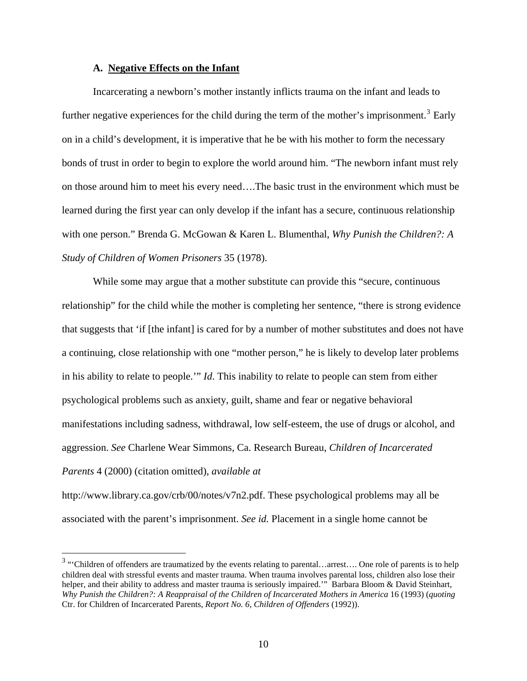#### **A. Negative Effects on the Infant**

Incarcerating a newborn's mother instantly inflicts trauma on the infant and leads to further negative experiences for the child during the term of the mother's imprisonment.<sup>[3](#page-22-0)</sup> Early on in a child's development, it is imperative that he be with his mother to form the necessary bonds of trust in order to begin to explore the world around him. "The newborn infant must rely on those around him to meet his every need….The basic trust in the environment which must be learned during the first year can only develop if the infant has a secure, continuous relationship with one person." Brenda G. McGowan & Karen L. Blumenthal, *Why Punish the Children?: A Study of Children of Women Prisoners* 35 (1978).

While some may argue that a mother substitute can provide this "secure, continuous relationship" for the child while the mother is completing her sentence, "there is strong evidence that suggests that 'if [the infant] is cared for by a number of mother substitutes and does not have a continuing, close relationship with one "mother person," he is likely to develop later problems in his ability to relate to people.'" *Id*. This inability to relate to people can stem from either psychological problems such as anxiety, guilt, shame and fear or negative behavioral manifestations including sadness, withdrawal, low self-esteem, the use of drugs or alcohol, and aggression. *See* Charlene Wear Simmons, Ca. Research Bureau, *Children of Incarcerated Parents* 4 (2000) (citation omitted), *available at*

http://www.library.ca.gov/crb/00/notes/v7n2.pdf. These psychological problems may all be associated with the parent's imprisonment. *See id.* Placement in a single home cannot be

<span id="page-22-0"></span><sup>&</sup>lt;sup>3</sup> "Children of offenders are traumatized by the events relating to parental...arrest.... One role of parents is to help children deal with stressful events and master trauma. When trauma involves parental loss, children also lose their helper, and their ability to address and master trauma is seriously impaired."" Barbara Bloom & David Steinhart, *Why Punish the Children?: A Reappraisal of the Children of Incarcerated Mothers in America* 16 (1993) (*quoting* Ctr. for Children of Incarcerated Parents, *Report No. 6, Children of Offenders* (1992)).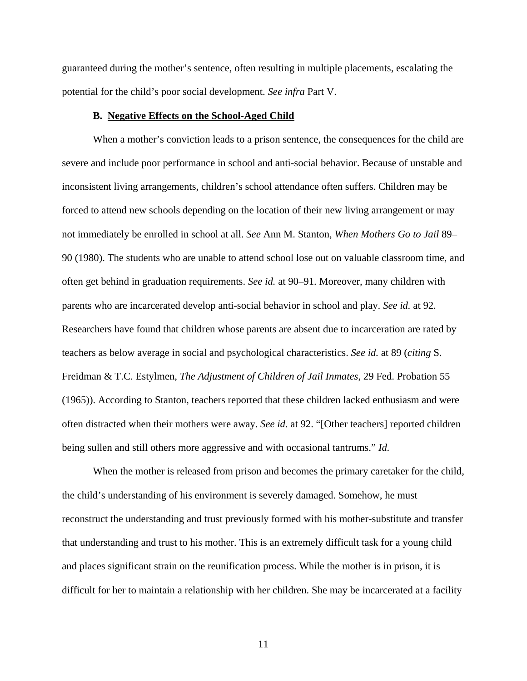guaranteed during the mother's sentence, often resulting in multiple placements, escalating the potential for the child's poor social development. *See infra* Part V.

#### **B. Negative Effects on the School-Aged Child**

 When a mother's conviction leads to a prison sentence, the consequences for the child are severe and include poor performance in school and anti-social behavior. Because of unstable and inconsistent living arrangements, children's school attendance often suffers. Children may be forced to attend new schools depending on the location of their new living arrangement or may not immediately be enrolled in school at all. *See* Ann M. Stanton, *When Mothers Go to Jail* 89– 90 (1980). The students who are unable to attend school lose out on valuable classroom time, and often get behind in graduation requirements. *See id.* at 90–91. Moreover, many children with parents who are incarcerated develop anti-social behavior in school and play. *See id.* at 92. Researchers have found that children whose parents are absent due to incarceration are rated by teachers as below average in social and psychological characteristics. *See id.* at 89 (*citing* S. Freidman & T.C. Estylmen, *The Adjustment of Children of Jail Inmates*, 29 Fed. Probation 55 (1965)). According to Stanton, teachers reported that these children lacked enthusiasm and were often distracted when their mothers were away. *See id.* at 92. "[Other teachers] reported children being sullen and still others more aggressive and with occasional tantrums." *Id.*

 When the mother is released from prison and becomes the primary caretaker for the child, the child's understanding of his environment is severely damaged. Somehow, he must reconstruct the understanding and trust previously formed with his mother-substitute and transfer that understanding and trust to his mother. This is an extremely difficult task for a young child and places significant strain on the reunification process. While the mother is in prison, it is difficult for her to maintain a relationship with her children. She may be incarcerated at a facility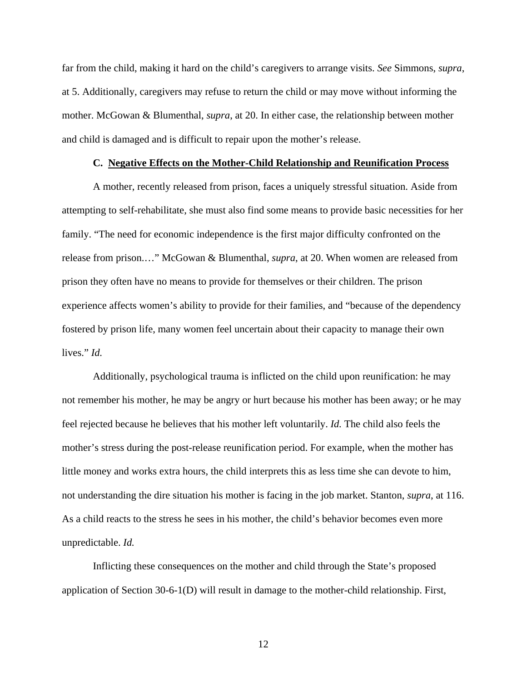far from the child, making it hard on the child's caregivers to arrange visits. *See* Simmons, *supra*, at 5. Additionally, caregivers may refuse to return the child or may move without informing the mother. McGowan & Blumenthal, *supra*, at 20. In either case, the relationship between mother and child is damaged and is difficult to repair upon the mother's release.

#### **C. Negative Effects on the Mother-Child Relationship and Reunification Process**

A mother, recently released from prison, faces a uniquely stressful situation. Aside from attempting to self-rehabilitate, she must also find some means to provide basic necessities for her family. "The need for economic independence is the first major difficulty confronted on the release from prison.…" McGowan & Blumenthal, *supra*, at 20. When women are released from prison they often have no means to provide for themselves or their children. The prison experience affects women's ability to provide for their families, and "because of the dependency fostered by prison life, many women feel uncertain about their capacity to manage their own lives." *Id.*

 Additionally, psychological trauma is inflicted on the child upon reunification: he may not remember his mother, he may be angry or hurt because his mother has been away; or he may feel rejected because he believes that his mother left voluntarily. *Id.* The child also feels the mother's stress during the post-release reunification period. For example, when the mother has little money and works extra hours, the child interprets this as less time she can devote to him, not understanding the dire situation his mother is facing in the job market. Stanton, *supra*, at 116. As a child reacts to the stress he sees in his mother, the child's behavior becomes even more unpredictable. *Id.*

 Inflicting these consequences on the mother and child through the State's proposed application of Section 30-6-1(D) will result in damage to the mother-child relationship. First,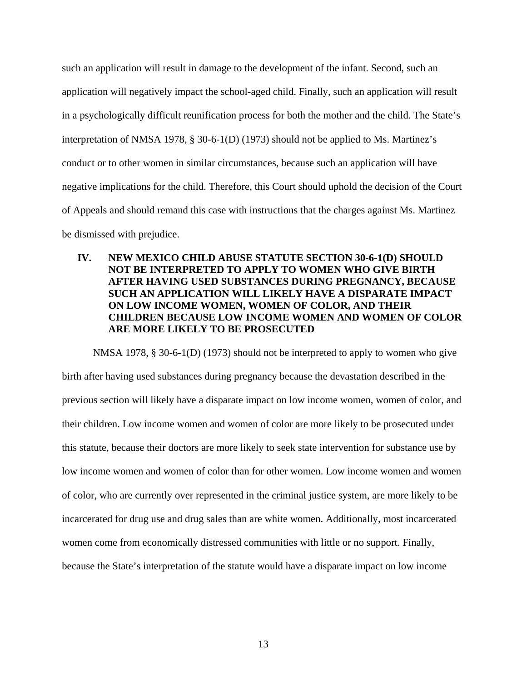such an application will result in damage to the development of the infant. Second, such an application will negatively impact the school-aged child. Finally, such an application will result in a psychologically difficult reunification process for both the mother and the child. The State's interpretation of NMSA 1978, § 30-6-1(D) (1973) should not be applied to Ms. Martinez's conduct or to other women in similar circumstances, because such an application will have negative implications for the child. Therefore, this Court should uphold the decision of the Court of Appeals and should remand this case with instructions that the charges against Ms. Martinez be dismissed with prejudice.

### **IV. NEW MEXICO CHILD ABUSE STATUTE SECTION 30-6-1(D) SHOULD NOT BE INTERPRETED TO APPLY TO WOMEN WHO GIVE BIRTH AFTER HAVING USED SUBSTANCES DURING PREGNANCY, BECAUSE SUCH AN APPLICATION WILL LIKELY HAVE A DISPARATE IMPACT ON LOW INCOME WOMEN, WOMEN OF COLOR, AND THEIR CHILDREN BECAUSE LOW INCOME WOMEN AND WOMEN OF COLOR ARE MORE LIKELY TO BE PROSECUTED**

NMSA 1978, § 30-6-1(D) (1973) should not be interpreted to apply to women who give birth after having used substances during pregnancy because the devastation described in the previous section will likely have a disparate impact on low income women, women of color, and their children. Low income women and women of color are more likely to be prosecuted under this statute, because their doctors are more likely to seek state intervention for substance use by low income women and women of color than for other women. Low income women and women of color, who are currently over represented in the criminal justice system, are more likely to be incarcerated for drug use and drug sales than are white women. Additionally, most incarcerated women come from economically distressed communities with little or no support. Finally, because the State's interpretation of the statute would have a disparate impact on low income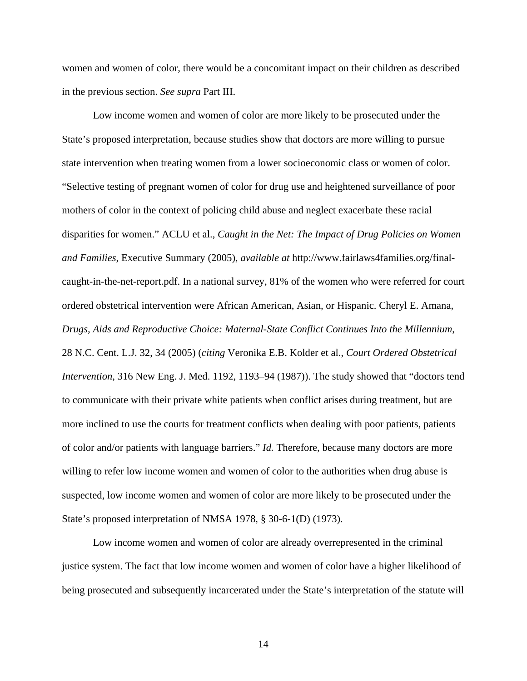women and women of color, there would be a concomitant impact on their children as described in the previous section. *See supra* Part III.

Low income women and women of color are more likely to be prosecuted under the State's proposed interpretation, because studies show that doctors are more willing to pursue state intervention when treating women from a lower socioeconomic class or women of color. "Selective testing of pregnant women of color for drug use and heightened surveillance of poor mothers of color in the context of policing child abuse and neglect exacerbate these racial disparities for women." ACLU et al., *Caught in the Net: The Impact of Drug Policies on Women and Families*, Executive Summary (2005), *available at* http://www.fairlaws4families.org/finalcaught-in-the-net-report.pdf. In a national survey, 81% of the women who were referred for court ordered obstetrical intervention were African American, Asian, or Hispanic. Cheryl E. Amana, *Drugs, Aids and Reproductive Choice: Maternal-State Conflict Continues Into the Millennium*, 28 N.C. Cent. L.J. 32, 34 (2005) (*citing* Veronika E.B. Kolder et al., *Court Ordered Obstetrical Intervention*, 316 New Eng. J. Med. 1192, 1193–94 (1987)). The study showed that "doctors tend to communicate with their private white patients when conflict arises during treatment, but are more inclined to use the courts for treatment conflicts when dealing with poor patients, patients of color and/or patients with language barriers." *Id.* Therefore, because many doctors are more willing to refer low income women and women of color to the authorities when drug abuse is suspected, low income women and women of color are more likely to be prosecuted under the State's proposed interpretation of NMSA 1978, § 30-6-1(D) (1973).

Low income women and women of color are already overrepresented in the criminal justice system. The fact that low income women and women of color have a higher likelihood of being prosecuted and subsequently incarcerated under the State's interpretation of the statute will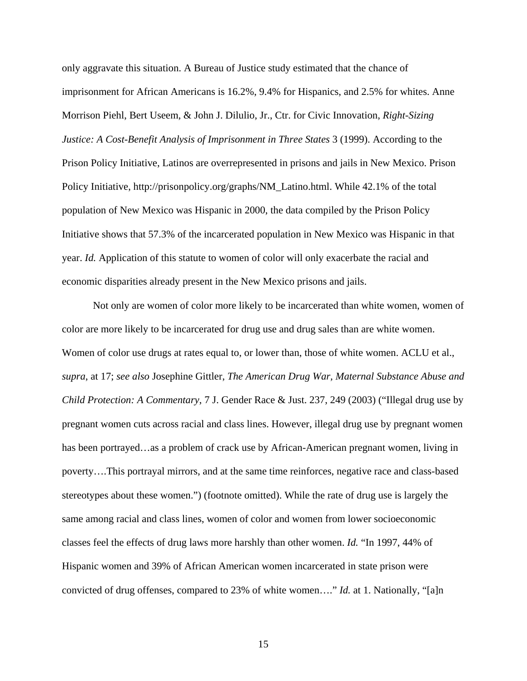only aggravate this situation. A Bureau of Justice study estimated that the chance of imprisonment for African Americans is 16.2%, 9.4% for Hispanics, and 2.5% for whites. Anne Morrison Piehl, Bert Useem, & John J. Dilulio, Jr., Ctr. for Civic Innovation, *Right-Sizing Justice: A Cost-Benefit Analysis of Imprisonment in Three States* 3 (1999). According to the Prison Policy Initiative, Latinos are overrepresented in prisons and jails in New Mexico. Prison Policy Initiative, http://prisonpolicy.org/graphs/NM\_Latino.html. While 42.1% of the total population of New Mexico was Hispanic in 2000, the data compiled by the Prison Policy Initiative shows that 57.3% of the incarcerated population in New Mexico was Hispanic in that year. *Id.* Application of this statute to women of color will only exacerbate the racial and economic disparities already present in the New Mexico prisons and jails.

Not only are women of color more likely to be incarcerated than white women, women of color are more likely to be incarcerated for drug use and drug sales than are white women. Women of color use drugs at rates equal to, or lower than, those of white women. ACLU et al., *supra*, at 17; *see also* Josephine Gittler, *The American Drug War, Maternal Substance Abuse and Child Protection: A Commentary*, 7 J. Gender Race & Just. 237, 249 (2003) ("Illegal drug use by pregnant women cuts across racial and class lines. However, illegal drug use by pregnant women has been portrayed…as a problem of crack use by African-American pregnant women, living in poverty….This portrayal mirrors, and at the same time reinforces, negative race and class-based stereotypes about these women.") (footnote omitted). While the rate of drug use is largely the same among racial and class lines, women of color and women from lower socioeconomic classes feel the effects of drug laws more harshly than other women. *Id.* "In 1997, 44% of Hispanic women and 39% of African American women incarcerated in state prison were convicted of drug offenses, compared to 23% of white women…." *Id.* at 1. Nationally, "[a]n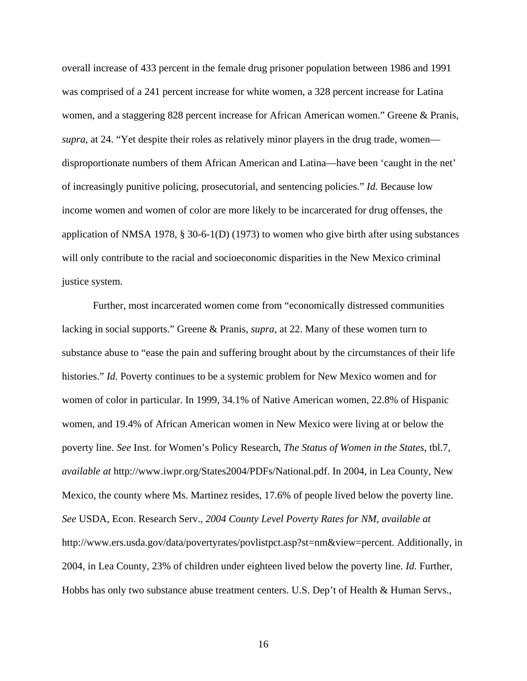overall increase of 433 percent in the female drug prisoner population between 1986 and 1991 was comprised of a 241 percent increase for white women, a 328 percent increase for Latina women, and a staggering 828 percent increase for African American women." Greene & Pranis, *supra*, at 24. "Yet despite their roles as relatively minor players in the drug trade, women disproportionate numbers of them African American and Latina—have been 'caught in the net' of increasingly punitive policing, prosecutorial, and sentencing policies." *Id.* Because low income women and women of color are more likely to be incarcerated for drug offenses, the application of NMSA 1978, § 30-6-1(D) (1973) to women who give birth after using substances will only contribute to the racial and socioeconomic disparities in the New Mexico criminal justice system.

Further, most incarcerated women come from "economically distressed communities lacking in social supports." Greene & Pranis, *supra*, at 22. Many of these women turn to substance abuse to "ease the pain and suffering brought about by the circumstances of their life histories." *Id.* Poverty continues to be a systemic problem for New Mexico women and for women of color in particular. In 1999, 34.1% of Native American women, 22.8% of Hispanic women, and 19.4% of African American women in New Mexico were living at or below the poverty line. *See* Inst. for Women's Policy Research, *The Status of Women in the States*, tbl.7, *available at* http://www.iwpr.org/States2004/PDFs/National.pdf. In 2004, in Lea County, New Mexico, the county where Ms. Martinez resides, 17.6% of people lived below the poverty line. *See* USDA, Econ. Research Serv., *2004 County Level Poverty Rates for NM*, *available at* http://www.ers.usda.gov/data/povertyrates/povlistpct.asp?st=nm&view=percent. Additionally, in 2004, in Lea County, 23% of children under eighteen lived below the poverty line. *Id.* Further, Hobbs has only two substance abuse treatment centers. U.S. Dep't of Health & Human Servs.,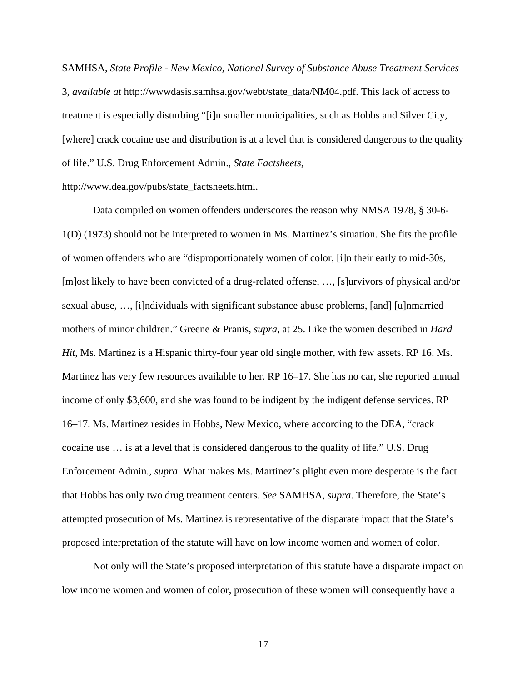SAMHSA, *State Profile - New Mexico, National Survey of Substance Abuse Treatment Services*  3, *available at* http://wwwdasis.samhsa.gov/webt/state\_data/NM04.pdf. This lack of access to treatment is especially disturbing "[i]n smaller municipalities, such as Hobbs and Silver City, [where] crack cocaine use and distribution is at a level that is considered dangerous to the quality of life." U.S. Drug Enforcement Admin., *State Factsheets*,

http://www.dea.gov/pubs/state\_factsheets.html.

Data compiled on women offenders underscores the reason why NMSA 1978, § 30-6- 1(D) (1973) should not be interpreted to women in Ms. Martinez's situation. She fits the profile of women offenders who are "disproportionately women of color, [i]n their early to mid-30s, [m]ost likely to have been convicted of a drug-related offense, …, [s]urvivors of physical and/or sexual abuse, …, [i]ndividuals with significant substance abuse problems, [and] [u]nmarried mothers of minor children." Greene & Pranis, *supra*, at 25. Like the women described in *Hard Hit*, Ms. Martinez is a Hispanic thirty-four year old single mother, with few assets. RP 16. Ms. Martinez has very few resources available to her. RP 16–17. She has no car, she reported annual income of only \$3,600, and she was found to be indigent by the indigent defense services. RP 16–17. Ms. Martinez resides in Hobbs, New Mexico, where according to the DEA, "crack cocaine use … is at a level that is considered dangerous to the quality of life." U.S. Drug Enforcement Admin., *supra*. What makes Ms. Martinez's plight even more desperate is the fact that Hobbs has only two drug treatment centers. *See* SAMHSA, *supra*. Therefore, the State's attempted prosecution of Ms. Martinez is representative of the disparate impact that the State's proposed interpretation of the statute will have on low income women and women of color.

Not only will the State's proposed interpretation of this statute have a disparate impact on low income women and women of color, prosecution of these women will consequently have a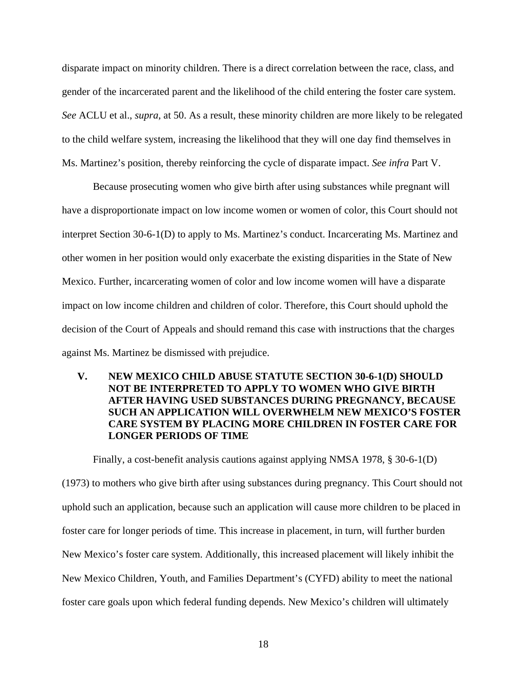disparate impact on minority children. There is a direct correlation between the race, class, and gender of the incarcerated parent and the likelihood of the child entering the foster care system. *See* ACLU et al., *supra*, at 50. As a result, these minority children are more likely to be relegated to the child welfare system, increasing the likelihood that they will one day find themselves in Ms. Martinez's position, thereby reinforcing the cycle of disparate impact. *See infra* Part V.

Because prosecuting women who give birth after using substances while pregnant will have a disproportionate impact on low income women or women of color, this Court should not interpret Section 30-6-1(D) to apply to Ms. Martinez's conduct. Incarcerating Ms. Martinez and other women in her position would only exacerbate the existing disparities in the State of New Mexico. Further, incarcerating women of color and low income women will have a disparate impact on low income children and children of color. Therefore, this Court should uphold the decision of the Court of Appeals and should remand this case with instructions that the charges against Ms. Martinez be dismissed with prejudice.

### **V. NEW MEXICO CHILD ABUSE STATUTE SECTION 30-6-1(D) SHOULD NOT BE INTERPRETED TO APPLY TO WOMEN WHO GIVE BIRTH AFTER HAVING USED SUBSTANCES DURING PREGNANCY, BECAUSE SUCH AN APPLICATION WILL OVERWHELM NEW MEXICO'S FOSTER CARE SYSTEM BY PLACING MORE CHILDREN IN FOSTER CARE FOR LONGER PERIODS OF TIME**

Finally, a cost-benefit analysis cautions against applying NMSA 1978, § 30-6-1(D)

(1973) to mothers who give birth after using substances during pregnancy. This Court should not uphold such an application, because such an application will cause more children to be placed in foster care for longer periods of time. This increase in placement, in turn, will further burden New Mexico's foster care system. Additionally, this increased placement will likely inhibit the New Mexico Children, Youth, and Families Department's (CYFD) ability to meet the national foster care goals upon which federal funding depends. New Mexico's children will ultimately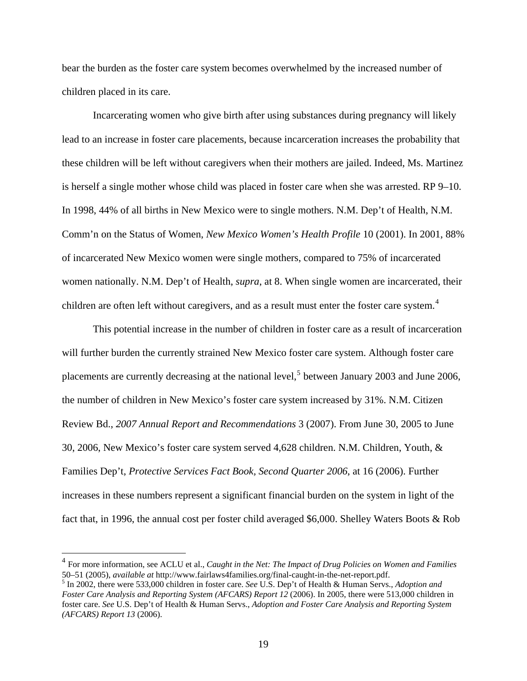bear the burden as the foster care system becomes overwhelmed by the increased number of children placed in its care.

Incarcerating women who give birth after using substances during pregnancy will likely lead to an increase in foster care placements, because incarceration increases the probability that these children will be left without caregivers when their mothers are jailed. Indeed, Ms. Martinez is herself a single mother whose child was placed in foster care when she was arrested. RP 9–10. In 1998, 44% of all births in New Mexico were to single mothers. N.M. Dep't of Health, N.M. Comm'n on the Status of Women, *New Mexico Women's Health Profile* 10 (2001). In 2001, 88% of incarcerated New Mexico women were single mothers, compared to 75% of incarcerated women nationally. N.M. Dep't of Health, *supra*, at 8. When single women are incarcerated, their children are often left without caregivers, and as a result must enter the foster care system. $4$ 

 This potential increase in the number of children in foster care as a result of incarceration will further burden the currently strained New Mexico foster care system. Although foster care placements are currently decreasing at the national level,<sup>[5](#page-31-1)</sup> between January 2003 and June 2006, the number of children in New Mexico's foster care system increased by 31%. N.M. Citizen Review Bd., *2007 Annual Report and Recommendations* 3 (2007). From June 30, 2005 to June 30, 2006, New Mexico's foster care system served 4,628 children. N.M. Children, Youth, & Families Dep't, *Protective Services Fact Book, Second Quarter 2006*, at 16 (2006). Further increases in these numbers represent a significant financial burden on the system in light of the fact that, in 1996, the annual cost per foster child averaged \$6,000. Shelley Waters Boots & Rob

 $\overline{a}$ 

<span id="page-31-0"></span><sup>4</sup> For more information, see ACLU et al., *Caught in the Net: The Impact of Drug Policies on Women and Families* 50–51 (2005), *available at* http://www.fairlaws4families.org/final-caught-in-the-net-report.pdf. <sup>5</sup>

<span id="page-31-1"></span><sup>&</sup>lt;sup>5</sup> In 2002, there were 533,000 children in foster care. *See* U.S. Dep't of Health & Human Servs., *Adoption and Foster Care Analysis and Reporting System (AFCARS) Report 12* (2006). In 2005, there were 513,000 children in foster care. *See* U.S. Dep't of Health & Human Servs., *Adoption and Foster Care Analysis and Reporting System (AFCARS) Report 13* (2006).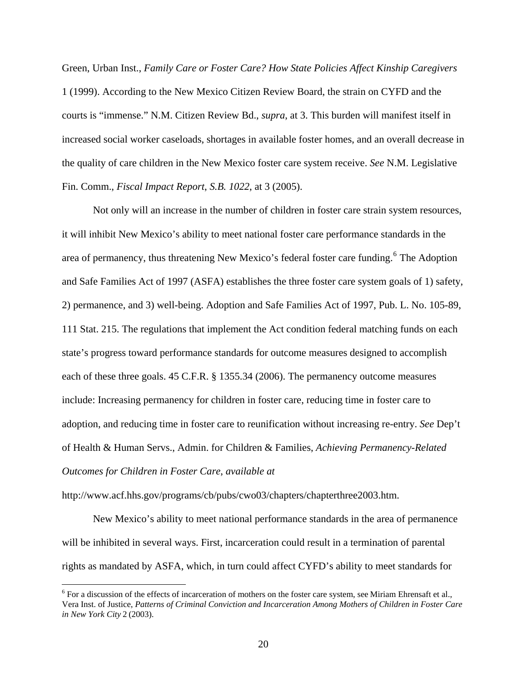Green, Urban Inst., *Family Care or Foster Care? How State Policies Affect Kinship Caregivers* 1 (1999). According to the New Mexico Citizen Review Board, the strain on CYFD and the courts is "immense." N.M. Citizen Review Bd., *supra*, at 3. This burden will manifest itself in increased social worker caseloads, shortages in available foster homes, and an overall decrease in the quality of care children in the New Mexico foster care system receive. *See* N.M. Legislative Fin. Comm., *Fiscal Impact Report*, *S.B. 1022*, at 3 (2005).

 Not only will an increase in the number of children in foster care strain system resources, it will inhibit New Mexico's ability to meet national foster care performance standards in the area of permanency, thus threatening New Mexico's federal foster care funding.<sup>[6](#page-32-0)</sup> The Adoption and Safe Families Act of 1997 (ASFA) establishes the three foster care system goals of 1) safety, 2) permanence, and 3) well-being. Adoption and Safe Families Act of 1997, Pub. L. No. 105-89, 111 Stat. 215. The regulations that implement the Act condition federal matching funds on each state's progress toward performance standards for outcome measures designed to accomplish each of these three goals. 45 C.F.R. § 1355.34 (2006). The permanency outcome measures include: Increasing permanency for children in foster care, reducing time in foster care to adoption, and reducing time in foster care to reunification without increasing re-entry. *See* Dep't of Health & Human Servs., Admin. for Children & Families, *Achieving Permanency-Related Outcomes for Children in Foster Care*, *available at*

http://www.acf.hhs.gov/programs/cb/pubs/cwo03/chapters/chapterthree2003.htm.

 $\overline{a}$ 

New Mexico's ability to meet national performance standards in the area of permanence will be inhibited in several ways. First, incarceration could result in a termination of parental rights as mandated by ASFA, which, in turn could affect CYFD's ability to meet standards for

<span id="page-32-0"></span> $6$  For a discussion of the effects of incarceration of mothers on the foster care system, see Miriam Ehrensaft et al., Vera Inst. of Justice, *Patterns of Criminal Conviction and Incarceration Among Mothers of Children in Foster Care in New York City* 2 (2003).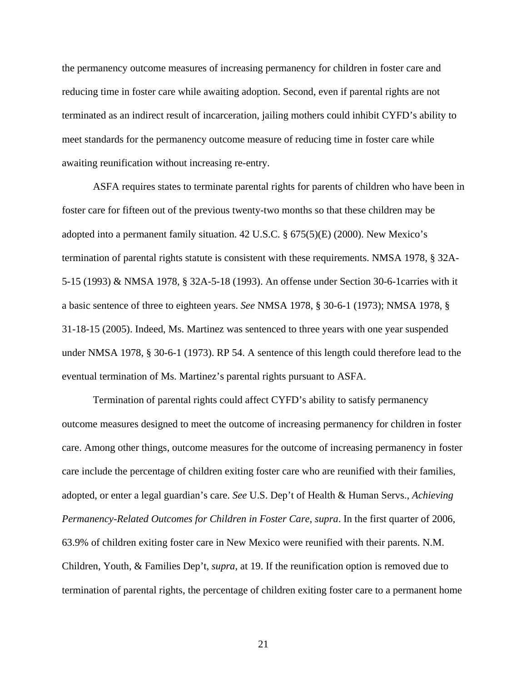the permanency outcome measures of increasing permanency for children in foster care and reducing time in foster care while awaiting adoption. Second, even if parental rights are not terminated as an indirect result of incarceration, jailing mothers could inhibit CYFD's ability to meet standards for the permanency outcome measure of reducing time in foster care while awaiting reunification without increasing re-entry.

ASFA requires states to terminate parental rights for parents of children who have been in foster care for fifteen out of the previous twenty-two months so that these children may be adopted into a permanent family situation. 42 U.S.C. § 675(5)(E) (2000). New Mexico's termination of parental rights statute is consistent with these requirements. NMSA 1978, § 32A-5-15 (1993) & NMSA 1978, § 32A-5-18 (1993). An offense under Section 30-6-1carries with it a basic sentence of three to eighteen years. *See* NMSA 1978, § 30-6-1 (1973); NMSA 1978, § 31-18-15 (2005). Indeed, Ms. Martinez was sentenced to three years with one year suspended under NMSA 1978, § 30-6-1 (1973). RP 54. A sentence of this length could therefore lead to the eventual termination of Ms. Martinez's parental rights pursuant to ASFA.

Termination of parental rights could affect CYFD's ability to satisfy permanency outcome measures designed to meet the outcome of increasing permanency for children in foster care. Among other things, outcome measures for the outcome of increasing permanency in foster care include the percentage of children exiting foster care who are reunified with their families, adopted, or enter a legal guardian's care. *See* U.S. Dep't of Health & Human Servs., *Achieving Permanency-Related Outcomes for Children in Foster Care*, *supra*. In the first quarter of 2006, 63.9% of children exiting foster care in New Mexico were reunified with their parents. N.M. Children, Youth, & Families Dep't, *supra*, at 19. If the reunification option is removed due to termination of parental rights, the percentage of children exiting foster care to a permanent home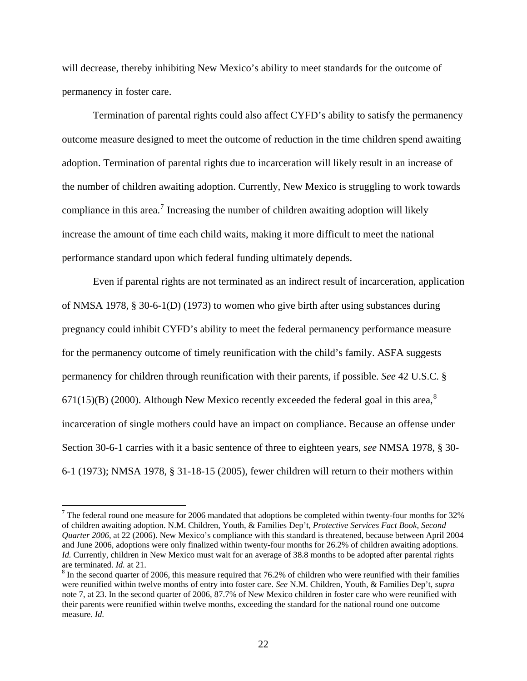will decrease, thereby inhibiting New Mexico's ability to meet standards for the outcome of permanency in foster care.

 Termination of parental rights could also affect CYFD's ability to satisfy the permanency outcome measure designed to meet the outcome of reduction in the time children spend awaiting adoption. Termination of parental rights due to incarceration will likely result in an increase of the number of children awaiting adoption. Currently, New Mexico is struggling to work towards compliance in this area.<sup>[7](#page-34-0)</sup> Increasing the number of children awaiting adoption will likely increase the amount of time each child waits, making it more difficult to meet the national performance standard upon which federal funding ultimately depends.

 Even if parental rights are not terminated as an indirect result of incarceration, application of NMSA 1978, § 30-6-1(D) (1973) to women who give birth after using substances during pregnancy could inhibit CYFD's ability to meet the federal permanency performance measure for the permanency outcome of timely reunification with the child's family. ASFA suggests permanency for children through reunification with their parents, if possible. *See* 42 U.S.C. §  $671(15)(B)$  (2000). Although New Mexico recently exceeded the federal goal in this area,<sup>[8](#page-34-1)</sup> incarceration of single mothers could have an impact on compliance. Because an offense under Section 30-6-1 carries with it a basic sentence of three to eighteen years, *see* NMSA 1978, § 30- 6-1 (1973); NMSA 1978, § 31-18-15 (2005), fewer children will return to their mothers within

 $\overline{a}$ 

<span id="page-34-0"></span><sup>&</sup>lt;sup>7</sup> The federal round one measure for 2006 mandated that adoptions be completed within twenty-four months for 32% of children awaiting adoption. N.M. Children, Youth, & Families Dep't, *Protective Services Fact Book, Second Quarter 2006*, at 22 (2006). New Mexico's compliance with this standard is threatened, because between April 2004 and June 2006, adoptions were only finalized within twenty-four months for 26.2% of children awaiting adoptions. *Id.* Currently, children in New Mexico must wait for an average of 38.8 months to be adopted after parental rights are terminated. *Id.* at 21. 8

<span id="page-34-1"></span> $\delta$  In the second quarter of 2006, this measure required that 76.2% of children who were reunified with their families were reunified within twelve months of entry into foster care. *See* N.M. Children, Youth, & Families Dep't, *supra* note 7, at 23. In the second quarter of 2006, 87.7% of New Mexico children in foster care who were reunified with their parents were reunified within twelve months, exceeding the standard for the national round one outcome measure. *Id.*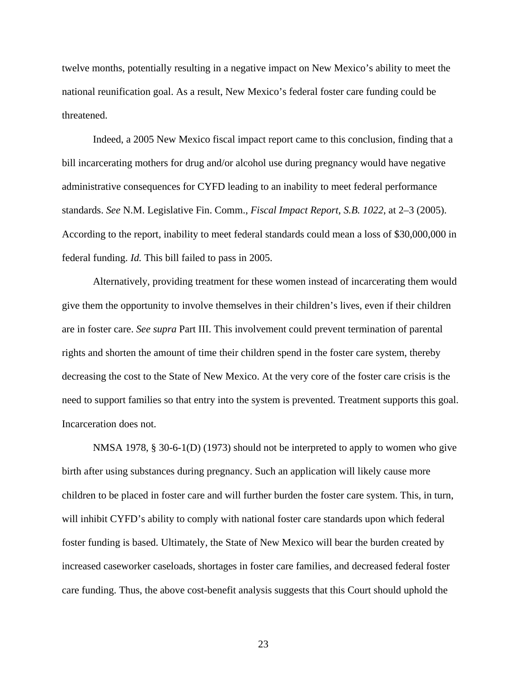twelve months, potentially resulting in a negative impact on New Mexico's ability to meet the national reunification goal. As a result, New Mexico's federal foster care funding could be threatened.

 Indeed, a 2005 New Mexico fiscal impact report came to this conclusion, finding that a bill incarcerating mothers for drug and/or alcohol use during pregnancy would have negative administrative consequences for CYFD leading to an inability to meet federal performance standards. *See* N.M. Legislative Fin. Comm., *Fiscal Impact Report*, *S.B. 1022*, at 2–3 (2005). According to the report, inability to meet federal standards could mean a loss of \$30,000,000 in federal funding. *Id.* This bill failed to pass in 2005.

 Alternatively, providing treatment for these women instead of incarcerating them would give them the opportunity to involve themselves in their children's lives, even if their children are in foster care. *See supra* Part III. This involvement could prevent termination of parental rights and shorten the amount of time their children spend in the foster care system, thereby decreasing the cost to the State of New Mexico. At the very core of the foster care crisis is the need to support families so that entry into the system is prevented. Treatment supports this goal. Incarceration does not.

NMSA 1978, § 30-6-1(D) (1973) should not be interpreted to apply to women who give birth after using substances during pregnancy. Such an application will likely cause more children to be placed in foster care and will further burden the foster care system. This, in turn, will inhibit CYFD's ability to comply with national foster care standards upon which federal foster funding is based. Ultimately, the State of New Mexico will bear the burden created by increased caseworker caseloads, shortages in foster care families, and decreased federal foster care funding. Thus, the above cost-benefit analysis suggests that this Court should uphold the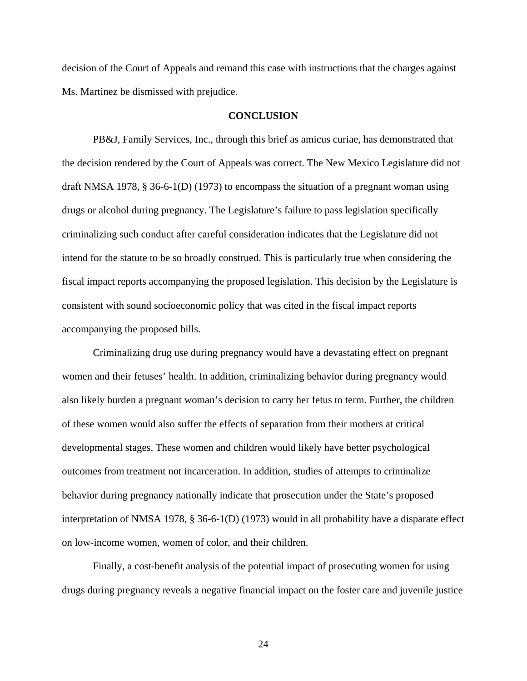decision of the Court of Appeals and remand this case with instructions that the charges against Ms. Martinez be dismissed with prejudice.

#### **CONCLUSION**

PB&J, Family Services, Inc., through this brief as amicus curiae, has demonstrated that the decision rendered by the Court of Appeals was correct. The New Mexico Legislature did not draft NMSA 1978, § 36-6-1(D) (1973) to encompass the situation of a pregnant woman using drugs or alcohol during pregnancy. The Legislature's failure to pass legislation specifically criminalizing such conduct after careful consideration indicates that the Legislature did not intend for the statute to be so broadly construed. This is particularly true when considering the fiscal impact reports accompanying the proposed legislation. This decision by the Legislature is consistent with sound socioeconomic policy that was cited in the fiscal impact reports accompanying the proposed bills.

Criminalizing drug use during pregnancy would have a devastating effect on pregnant women and their fetuses' health. In addition, criminalizing behavior during pregnancy would also likely burden a pregnant woman's decision to carry her fetus to term. Further, the children of these women would also suffer the effects of separation from their mothers at critical developmental stages. These women and children would likely have better psychological outcomes from treatment not incarceration. In addition, studies of attempts to criminalize behavior during pregnancy nationally indicate that prosecution under the State's proposed interpretation of NMSA 1978, § 36-6-1(D) (1973) would in all probability have a disparate effect on low-income women, women of color, and their children.

Finally, a cost-benefit analysis of the potential impact of prosecuting women for using drugs during pregnancy reveals a negative financial impact on the foster care and juvenile justice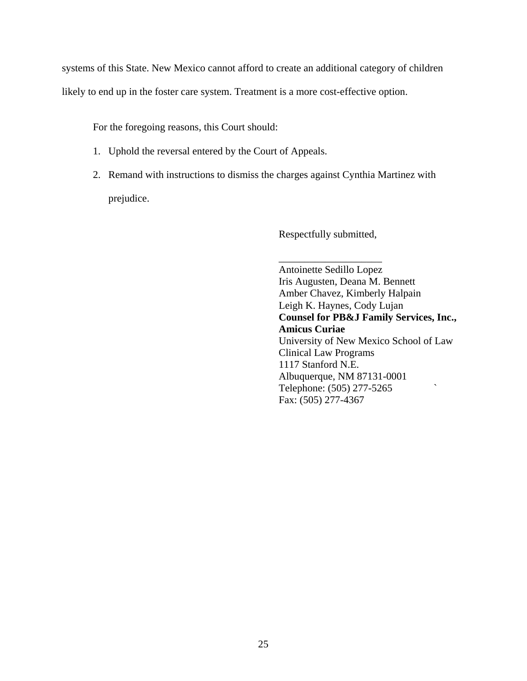systems of this State. New Mexico cannot afford to create an additional category of children

likely to end up in the foster care system. Treatment is a more cost-effective option.

For the foregoing reasons, this Court should:

- 1. Uphold the reversal entered by the Court of Appeals.
- 2. Remand with instructions to dismiss the charges against Cynthia Martinez with prejudice.

Respectfully submitted,

 $\overline{\phantom{a}}$  , which is a set of the set of the set of the set of the set of the set of the set of the set of the set of the set of the set of the set of the set of the set of the set of the set of the set of the set of th Antoinette Sedillo Lopez Iris Augusten, Deana M. Bennett Amber Chavez, Kimberly Halpain Leigh K. Haynes, Cody Lujan **Counsel for PB&J Family Services, Inc., Amicus Curiae**  University of New Mexico School of Law Clinical Law Programs 1117 Stanford N.E. Albuquerque, NM 87131-0001 Telephone: (505) 277-5265 ` Fax: (505) 277-4367